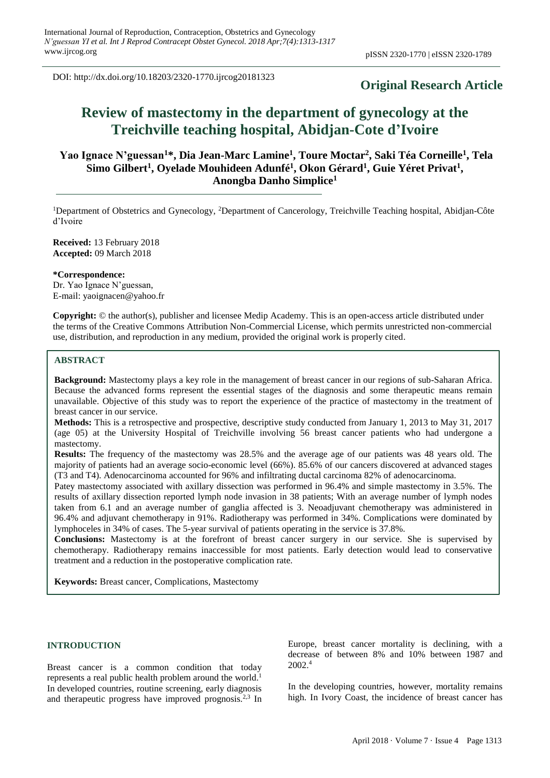DOI: http://dx.doi.org/10.18203/2320-1770.ijrcog20181323

## **Original Research Article**

# **Review of mastectomy in the department of gynecology at the Treichville teaching hospital, Abidjan-Cote d'Ivoire**

# **Yao Ignace N'guessan<sup>1</sup>\*, Dia Jean-Marc Lamine<sup>1</sup> , Toure Moctar<sup>2</sup> , Saki Téa Corneille<sup>1</sup> , Tela Simo Gilbert<sup>1</sup> , Oyelade Mouhideen Adunfé<sup>1</sup> , Okon Gérard<sup>1</sup> , Guie Yéret Privat<sup>1</sup> , Anongba Danho Simplice<sup>1</sup>**

<sup>1</sup>Department of Obstetrics and Gynecology, <sup>2</sup>Department of Cancerology, Treichville Teaching hospital, Abidjan-Côte d'Ivoire

**Received:** 13 February 2018 **Accepted:** 09 March 2018

**\*Correspondence:** Dr. Yao Ignace N'guessan, E-mail: yaoignacen@yahoo.fr

**Copyright:** © the author(s), publisher and licensee Medip Academy. This is an open-access article distributed under the terms of the Creative Commons Attribution Non-Commercial License, which permits unrestricted non-commercial use, distribution, and reproduction in any medium, provided the original work is properly cited.

### **ABSTRACT**

**Background:** Mastectomy plays a key role in the management of breast cancer in our regions of sub-Saharan Africa. Because the advanced forms represent the essential stages of the diagnosis and some therapeutic means remain unavailable. Objective of this study was to report the experience of the practice of mastectomy in the treatment of breast cancer in our service.

**Methods:** This is a retrospective and prospective, descriptive study conducted from January 1, 2013 to May 31, 2017 (age 05) at the University Hospital of Treichville involving 56 breast cancer patients who had undergone a mastectomy.

**Results:** The frequency of the mastectomy was 28.5% and the average age of our patients was 48 years old. The majority of patients had an average socio-economic level (66%). 85.6% of our cancers discovered at advanced stages (T3 and T4). Adenocarcinoma accounted for 96% and infiltrating ductal carcinoma 82% of adenocarcinoma.

Patey mastectomy associated with axillary dissection was performed in 96.4% and simple mastectomy in 3.5%. The results of axillary dissection reported lymph node invasion in 38 patients; With an average number of lymph nodes taken from 6.1 and an average number of ganglia affected is 3. Neoadjuvant chemotherapy was administered in 96.4% and adjuvant chemotherapy in 91%. Radiotherapy was performed in 34%. Complications were dominated by lymphoceles in 34% of cases. The 5-year survival of patients operating in the service is 37.8%.

**Conclusions:** Mastectomy is at the forefront of breast cancer surgery in our service. She is supervised by chemotherapy. Radiotherapy remains inaccessible for most patients. Early detection would lead to conservative treatment and a reduction in the postoperative complication rate.

**Keywords:** Breast cancer, Complications, Mastectomy

#### **INTRODUCTION**

Breast cancer is a common condition that today represents a real public health problem around the world.<sup>1</sup> In developed countries, routine screening, early diagnosis and therapeutic progress have improved prognosis.2,3 In Europe, breast cancer mortality is declining, with a decrease of between 8% and 10% between 1987 and 2002.<sup>4</sup>

In the developing countries, however, mortality remains high. In Ivory Coast, the incidence of breast cancer has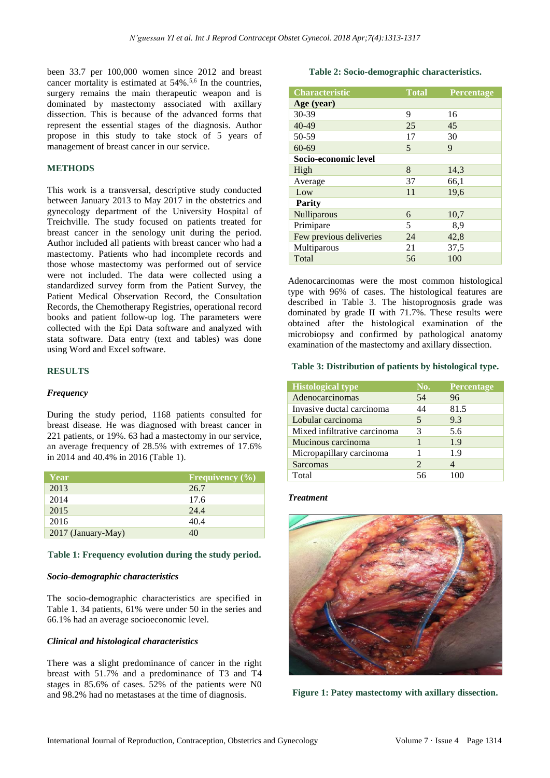been 33.7 per 100,000 women since 2012 and breast cancer mortality is estimated at 54%.5,6 In the countries, surgery remains the main therapeutic weapon and is dominated by mastectomy associated with axillary dissection. This is because of the advanced forms that represent the essential stages of the diagnosis. Author propose in this study to take stock of 5 years of management of breast cancer in our service.

### **METHODS**

This work is a transversal, descriptive study conducted between January 2013 to May 2017 in the obstetrics and gynecology department of the University Hospital of Treichville. The study focused on patients treated for breast cancer in the senology unit during the period. Author included all patients with breast cancer who had a mastectomy. Patients who had incomplete records and those whose mastectomy was performed out of service were not included. The data were collected using a standardized survey form from the Patient Survey, the Patient Medical Observation Record, the Consultation Records, the Chemotherapy Registries, operational record books and patient follow-up log. The parameters were collected with the Epi Data software and analyzed with stata software. Data entry (text and tables) was done using Word and Excel software.

#### **RESULTS**

#### *Frequency*

During the study period, 1168 patients consulted for breast disease. He was diagnosed with breast cancer in 221 patients, or 19%. 63 had a mastectomy in our service, an average frequency of 28.5% with extremes of 17.6% in 2014 and 40.4% in 2016 (Table 1).

| Year               | <b>Frequivency</b> $(\%)$ |
|--------------------|---------------------------|
| 2013               | 26.7                      |
| 2014               | 17.6                      |
| 2015               | 24.4                      |
| 2016               | 40.4                      |
| 2017 (January-May) | 40                        |

#### **Table 1: Frequency evolution during the study period.**

#### *Socio-demographic characteristics*

The socio-demographic characteristics are specified in Table 1. 34 patients, 61% were under 50 in the series and 66.1% had an average socioeconomic level.

### *Clinical and histological characteristics*

There was a slight predominance of cancer in the right breast with 51.7% and a predominance of T3 and T4 stages in 85.6% of cases. 52% of the patients were N0 and 98.2% had no metastases at the time of diagnosis.

### **Table 2: Socio-demographic characteristics.**

| <b>Characteristic</b>   | <b>Total</b> | Percentage |
|-------------------------|--------------|------------|
| Age (year)              |              |            |
| 30-39                   | 9            | 16         |
| 40-49                   | 25           | 45         |
| 50-59                   | 17           | 30         |
| 60-69                   | 5            | 9          |
| Socio-economic level    |              |            |
| High                    | 8            | 14,3       |
| Average                 | 37           | 66,1       |
| Low                     | 11           | 19,6       |
| <b>Parity</b>           |              |            |
| <b>Nulliparous</b>      | 6            | 10,7       |
| Primipare               | 5            | 8,9        |
| Few previous deliveries | 24           | 42,8       |
| Multiparous             | 21           | 37,5       |
| Total                   | 56           | 100        |

Adenocarcinomas were the most common histological type with 96% of cases. The histological features are described in Table 3. The histoprognosis grade was dominated by grade II with 71.7%. These results were obtained after the histological examination of the microbiopsy and confirmed by pathological anatomy examination of the mastectomy and axillary dissection.

#### **Table 3: Distribution of patients by histological type.**

| <b>Histological type</b>     | No.                         | Percentage |
|------------------------------|-----------------------------|------------|
| Adenocarcinomas              | 54                          | 96         |
| Invasive ductal carcinoma    | 44                          | 81.5       |
| Lobular carcinoma            | 5                           | 9.3        |
| Mixed infiltrative carcinoma | 3                           | 5.6        |
| Mucinous carcinoma           |                             | 1.9        |
| Micropapillary carcinoma     |                             | 1.9        |
| Sarcomas                     | $\mathcal{D}_{\mathcal{L}}$ |            |
| Total                        |                             |            |

#### *Treatment*



**Figure 1: Patey mastectomy with axillary dissection.**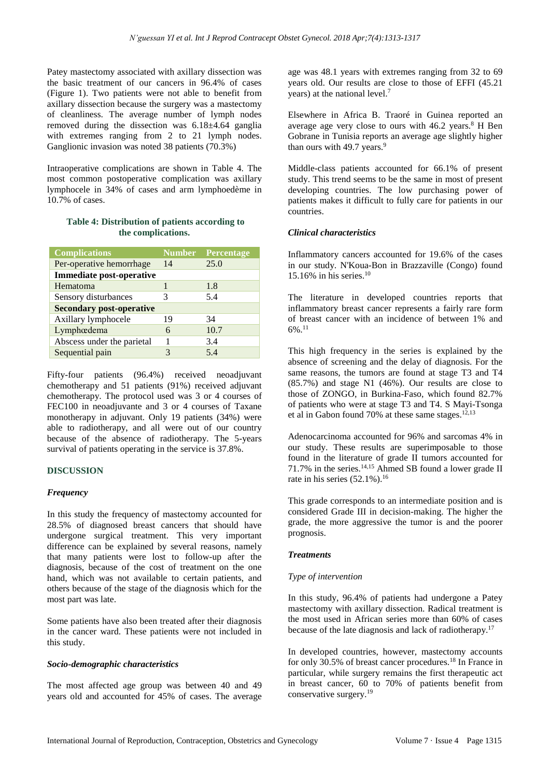Patey mastectomy associated with axillary dissection was the basic treatment of our cancers in 96.4% of cases (Figure 1). Two patients were not able to benefit from axillary dissection because the surgery was a mastectomy of cleanliness. The average number of lymph nodes removed during the dissection was 6.18±4.64 ganglia with extremes ranging from 2 to 21 lymph nodes. Ganglionic invasion was noted 38 patients (70.3%)

Intraoperative complications are shown in Table 4. The most common postoperative complication was axillary lymphocele in 34% of cases and arm lymphoedème in 10.7% of cases.

### **Table 4: Distribution of patients according to the complications.**

| <b>Complications</b>            | <b>Number</b> | Percentage |
|---------------------------------|---------------|------------|
| Per-operative hemorrhage        | 14            | 25.0       |
| <b>Immediate post-operative</b> |               |            |
| Hematoma                        |               | 1.8        |
| Sensory disturbances            |               | 5.4        |
| <b>Secondary post-operative</b> |               |            |
| Axillary lymphocele             | 19            | 34         |
| Lymphœdema                      | 6             | 10.7       |
| Abscess under the parietal      |               | 3.4        |
| Sequential pain                 |               | 5.4        |

Fifty-four patients (96.4%) received neoadjuvant chemotherapy and 51 patients (91%) received adjuvant chemotherapy. The protocol used was 3 or 4 courses of FEC100 in neoadjuvante and 3 or 4 courses of Taxane monotherapy in adjuvant. Only 19 patients (34%) were able to radiotherapy, and all were out of our country because of the absence of radiotherapy. The 5-years survival of patients operating in the service is 37.8%.

### **DISCUSSION**

### *Frequency*

In this study the frequency of mastectomy accounted for 28.5% of diagnosed breast cancers that should have undergone surgical treatment. This very important difference can be explained by several reasons, namely that many patients were lost to follow-up after the diagnosis, because of the cost of treatment on the one hand, which was not available to certain patients, and others because of the stage of the diagnosis which for the most part was late.

Some patients have also been treated after their diagnosis in the cancer ward. These patients were not included in this study.

### *Socio-demographic characteristics*

The most affected age group was between 40 and 49 years old and accounted for 45% of cases. The average age was 48.1 years with extremes ranging from 32 to 69 years old. Our results are close to those of EFFI (45.21 years) at the national level. 7

Elsewhere in Africa B. Traoré in Guinea reported an average age very close to ours with  $46.2$  years.<sup>8</sup> H Ben Gobrane in Tunisia reports an average age slightly higher than ours with 49.7 years.<sup>9</sup>

Middle-class patients accounted for 66.1% of present study. This trend seems to be the same in most of present developing countries. The low purchasing power of patients makes it difficult to fully care for patients in our countries.

### *Clinical characteristics*

Inflammatory cancers accounted for 19.6% of the cases in our study. N'Koua-Bon in Brazzaville (Congo) found 15.16% in his series.<sup>10</sup>

The literature in developed countries reports that inflammatory breast cancer represents a fairly rare form of breast cancer with an incidence of between 1% and 6%. 11

This high frequency in the series is explained by the absence of screening and the delay of diagnosis. For the same reasons, the tumors are found at stage T3 and T4 (85.7%) and stage N1 (46%). Our results are close to those of ZONGO, in Burkina-Faso, which found 82.7% of patients who were at stage T3 and T4. S Mayi-Tsonga et al in Gabon found 70% at these same stages. $12,13$ 

Adenocarcinoma accounted for 96% and sarcomas 4% in our study. These results are superimposable to those found in the literature of grade II tumors accounted for 71.7% in the series. $14,15$  Ahmed SB found a lower grade II rate in his series  $(52.1\%)$ .<sup>16</sup>

This grade corresponds to an intermediate position and is considered Grade III in decision-making. The higher the grade, the more aggressive the tumor is and the poorer prognosis.

### *Treatments*

### *Type of intervention*

In this study, 96.4% of patients had undergone a Patey mastectomy with axillary dissection. Radical treatment is the most used in African series more than 60% of cases because of the late diagnosis and lack of radiotherapy.<sup>17</sup>

In developed countries, however, mastectomy accounts for only 30.5% of breast cancer procedures.<sup>18</sup> In France in particular, while surgery remains the first therapeutic act in breast cancer, 60 to 70% of patients benefit from conservative surgery.<sup>19</sup>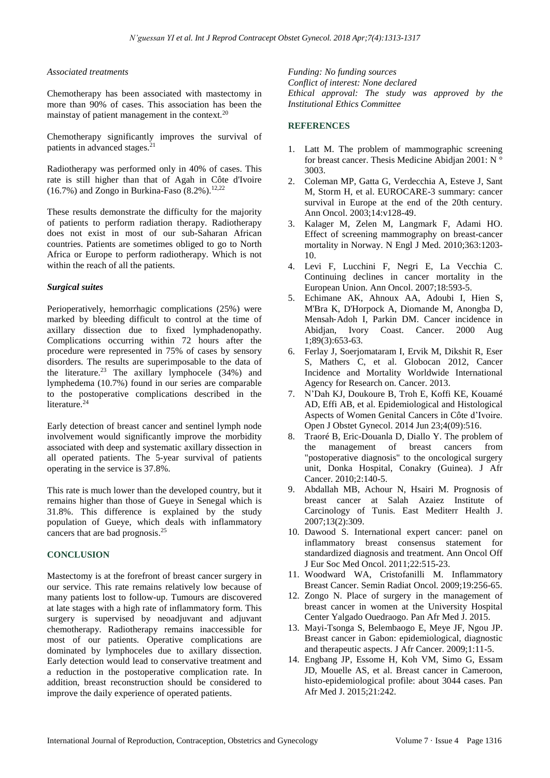### *Associated treatments*

Chemotherapy has been associated with mastectomy in more than 90% of cases. This association has been the mainstay of patient management in the context.<sup>20</sup>

Chemotherapy significantly improves the survival of patients in advanced stages.<sup>21</sup>

Radiotherapy was performed only in 40% of cases. This rate is still higher than that of Agah in Côte d'Ivoire  $(16.7\%)$  and Zongo in Burkina-Faso  $(8.2\%)$ .<sup>12,22</sup>

These results demonstrate the difficulty for the majority of patients to perform radiation therapy. Radiotherapy does not exist in most of our sub-Saharan African countries. Patients are sometimes obliged to go to North Africa or Europe to perform radiotherapy. Which is not within the reach of all the patients.

### *Surgical suites*

Perioperatively, hemorrhagic complications (25%) were marked by bleeding difficult to control at the time of axillary dissection due to fixed lymphadenopathy. Complications occurring within 72 hours after the procedure were represented in 75% of cases by sensory disorders. The results are superimposable to the data of the literature.<sup>23</sup> The axillary lymphocele  $(34%)$  and lymphedema (10.7%) found in our series are comparable to the postoperative complications described in the literature.<sup>24</sup>

Early detection of breast cancer and sentinel lymph node involvement would significantly improve the morbidity associated with deep and systematic axillary dissection in all operated patients. The 5-year survival of patients operating in the service is 37.8%.

This rate is much lower than the developed country, but it remains higher than those of Gueye in Senegal which is 31.8%. This difference is explained by the study population of Gueye, which deals with inflammatory cancers that are bad prognosis. 25

### **CONCLUSION**

Mastectomy is at the forefront of breast cancer surgery in our service. This rate remains relatively low because of many patients lost to follow-up. Tumours are discovered at late stages with a high rate of inflammatory form. This surgery is supervised by neoadjuvant and adjuvant chemotherapy. Radiotherapy remains inaccessible for most of our patients. Operative complications are dominated by lymphoceles due to axillary dissection. Early detection would lead to conservative treatment and a reduction in the postoperative complication rate. In addition, breast reconstruction should be considered to improve the daily experience of operated patients.

*Funding: No funding sources Conflict of interest: None declared Ethical approval: The study was approved by the Institutional Ethics Committee*

### **REFERENCES**

- 1. Latt M. The problem of mammographic screening for breast cancer. Thesis Medicine Abidjan 2001: N ° 3003.
- 2. Coleman MP, Gatta G, Verdecchia A, Esteve J, Sant M, Storm H, et al. EUROCARE-3 summary: cancer survival in Europe at the end of the 20th century. Ann Oncol. 2003;14:v128-49.
- 3. Kalager M, Zelen M, Langmark F, Adami HO. Effect of screening mammography on breast-cancer mortality in Norway. N Engl J Med. 2010;363:1203- 10.
- 4. Levi F, Lucchini F, Negri E, La Vecchia C. Continuing declines in cancer mortality in the European Union. Ann Oncol. 2007;18:593-5.
- 5. Echimane AK, Ahnoux AA, Adoubi I, Hien S, M'Bra K, D'Horpock A, Diomande M, Anongba D, Mensah‐Adoh I, Parkin DM. Cancer incidence in Abidjan, Ivory Coast. Cancer. 2000 Aug 1;89(3):653-63.
- 6. Ferlay J, Soerjomataram I, Ervik M, Dikshit R, Eser S, Mathers C, et al. Globocan 2012, Cancer Incidence and Mortality Worldwide International Agency for Research on. Cancer. 2013.
- 7. N'Dah KJ, Doukoure B, Troh E, Koffi KE, Kouamé AD, Effi AB, et al. Epidemiological and Histological Aspects of Women Genital Cancers in Côte d'Ivoire. Open J Obstet Gynecol. 2014 Jun 23;4(09):516.
- 8. Traoré B, Eric-Douanla D, Diallo Y. The problem of the management of breast cancers from "postoperative diagnosis" to the oncological surgery unit, Donka Hospital, Conakry (Guinea). J Afr Cancer. 2010;2:140-5.
- 9. Abdallah MB, Achour N, Hsairi M. Prognosis of breast cancer at Salah Azaiez Institute of Carcinology of Tunis. East Mediterr Health J. 2007;13(2):309.
- 10. Dawood S. International expert cancer: panel on inflammatory breast consensus statement for standardized diagnosis and treatment. Ann Oncol Off J Eur Soc Med Oncol. 2011;22:515-23.
- 11. Woodward WA, Cristofanilli M. Inflammatory Breast Cancer. Semin Radiat Oncol. 2009;19:256-65.
- 12. Zongo N. Place of surgery in the management of breast cancer in women at the University Hospital Center Yalgado Ouedraogo. Pan Afr Med J. 2015.
- 13. Mayi-Tsonga S, Belembaogo E, Meye JF, Ngou JP. Breast cancer in Gabon: epidemiological, diagnostic and therapeutic aspects. J Afr Cancer. 2009;1:11-5.
- 14. Engbang JP, Essome H, Koh VM, Simo G, Essam JD, Mouelle AS, et al. Breast cancer in Cameroon, histo-epidemiological profile: about 3044 cases. Pan Afr Med J. 2015;21:242.